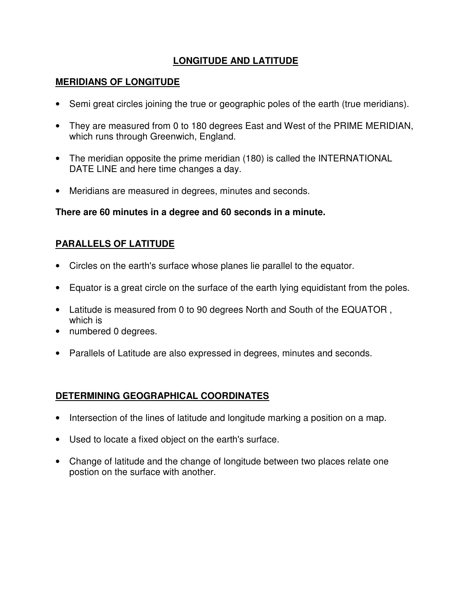# **LONGITUDE AND LATITUDE**

## **MERIDIANS OF LONGITUDE**

- Semi great circles joining the true or geographic poles of the earth (true meridians).
- They are measured from 0 to 180 degrees East and West of the PRIME MERIDIAN, which runs through Greenwich, England.
- The meridian opposite the prime meridian (180) is called the INTERNATIONAL DATE LINE and here time changes a day.
- Meridians are measured in degrees, minutes and seconds.

## **There are 60 minutes in a degree and 60 seconds in a minute.**

# **PARALLELS OF LATITUDE**

- Circles on the earth's surface whose planes lie parallel to the equator.
- Equator is a great circle on the surface of the earth lying equidistant from the poles.
- Latitude is measured from 0 to 90 degrees North and South of the EQUATOR , which is
- numbered 0 degrees.
- Parallels of Latitude are also expressed in degrees, minutes and seconds.

# **DETERMINING GEOGRAPHICAL COORDINATES**

- Intersection of the lines of latitude and longitude marking a position on a map.
- Used to locate a fixed object on the earth's surface.
- Change of latitude and the change of longitude between two places relate one postion on the surface with another.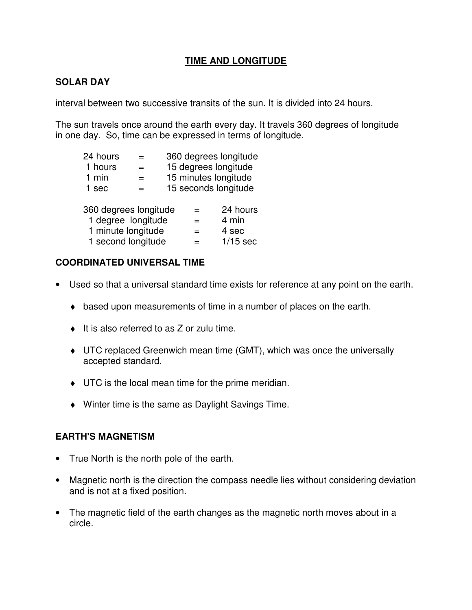### **TIME AND LONGITUDE**

## **SOLAR DAY**

interval between two successive transits of the sun. It is divided into 24 hours.

The sun travels once around the earth every day. It travels 360 degrees of longitude in one day. So, time can be expressed in terms of longitude.

| 24 hours              | $=$ |  | 360 degrees longitude |                      |  |  |
|-----------------------|-----|--|-----------------------|----------------------|--|--|
| 1 hours               |     |  | 15 degrees longitude  |                      |  |  |
| 1 min                 | $=$ |  |                       | 15 minutes longitude |  |  |
| 1 sec                 | $=$ |  |                       | 15 seconds longitude |  |  |
|                       |     |  |                       |                      |  |  |
| 360 degrees longitude |     |  | =                     | 24 hours             |  |  |
| 1 degree longitude    |     |  | $=$                   | 4 min                |  |  |
| 1 minute longitude    |     |  | =                     | 4 sec                |  |  |
| 1 second longitude    |     |  | $1/15$ sec            |                      |  |  |

### **COORDINATED UNIVERSAL TIME**

- Used so that a universal standard time exists for reference at any point on the earth.
	- ♦ based upon measurements of time in a number of places on the earth.
	- $\bullet$  It is also referred to as Z or zulu time.
	- ♦ UTC replaced Greenwich mean time (GMT), which was once the universally accepted standard.
	- ♦ UTC is the local mean time for the prime meridian.
	- ♦ Winter time is the same as Daylight Savings Time.

### **EARTH'S MAGNETISM**

- True North is the north pole of the earth.
- Magnetic north is the direction the compass needle lies without considering deviation and is not at a fixed position.
- The magnetic field of the earth changes as the magnetic north moves about in a circle.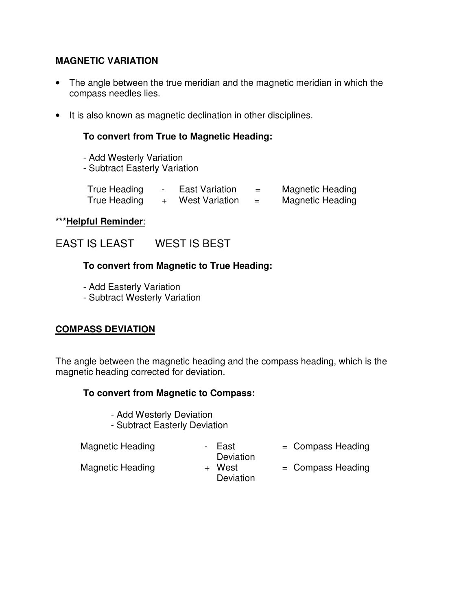### **MAGNETIC VARIATION**

- The angle between the true meridian and the magnetic meridian in which the compass needles lies.
- It is also known as magnetic declination in other disciplines.

### **To convert from True to Magnetic Heading:**

- Add Westerly Variation
- Subtract Easterly Variation

| True Heading | <b>East Variation</b> | =   | <b>Magnetic Heading</b> |
|--------------|-----------------------|-----|-------------------------|
| True Heading | <b>West Variation</b> | $=$ | <b>Magnetic Heading</b> |

#### **\*\*\*Helpful Reminder**:

EAST IS LEAST WEST IS BEST

### **To convert from Magnetic to True Heading:**

- Add Easterly Variation
- Subtract Westerly Variation

# **COMPASS DEVIATION**

The angle between the magnetic heading and the compass heading, which is the magnetic heading corrected for deviation.

### **To convert from Magnetic to Compass:**

- Add Westerly Deviation
- Subtract Easterly Deviation

Magnetic Heading Theory - East

Deviation<br>+ West

= Compass Heading

- Magnetic Heading
- Deviation
	- = Compass Heading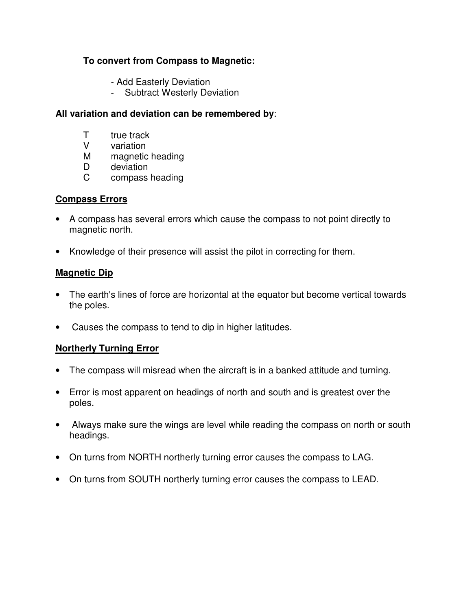### **To convert from Compass to Magnetic:**

- Add Easterly Deviation
- Subtract Westerly Deviation

#### **All variation and deviation can be remembered by**:

- T true track
- V variation
- M magnetic heading
- D deviation
- C compass heading

### **Compass Errors**

- A compass has several errors which cause the compass to not point directly to magnetic north.
- Knowledge of their presence will assist the pilot in correcting for them.

## **Magnetic Dip**

- The earth's lines of force are horizontal at the equator but become vertical towards the poles.
- Causes the compass to tend to dip in higher latitudes.

# **Northerly Turning Error**

- The compass will misread when the aircraft is in a banked attitude and turning.
- Error is most apparent on headings of north and south and is greatest over the poles.
- Always make sure the wings are level while reading the compass on north or south headings.
- On turns from NORTH northerly turning error causes the compass to LAG.
- On turns from SOUTH northerly turning error causes the compass to LEAD.